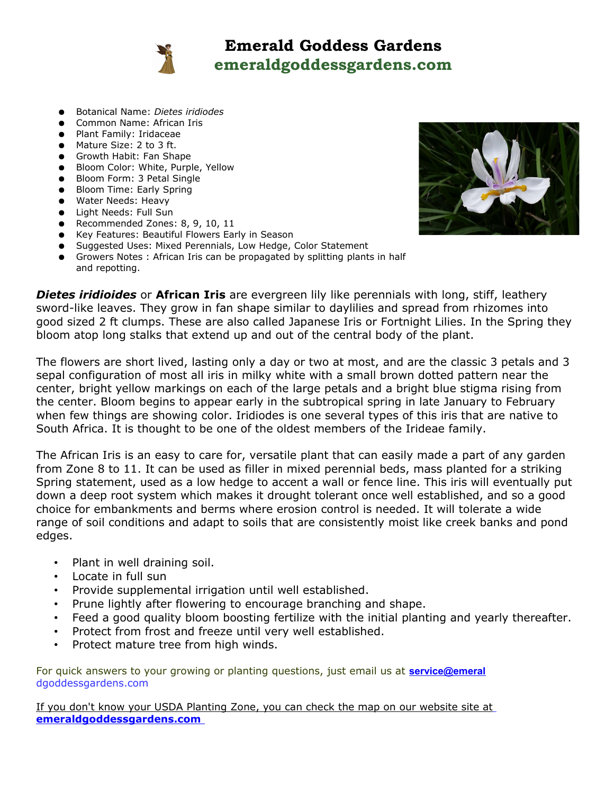

## **Emerald Goddess Gardens emeraldgoddessgardens.com**

- Botanical Name: *Dietes iridiodes*
- Common Name: African Iris
- Plant Family: Iridaceae
- Mature Size: 2 to 3 ft.
- Growth Habit: Fan Shape
- Bloom Color: White, Purple, Yellow
- Bloom Form: 3 Petal Single
- Bloom Time: Early Spring
- Water Needs: Heavy
- Light Needs: Full Sun
- Recommended Zones: 8, 9, 10, 11
- Key Features: Beautiful Flowers Early in Season
- Suggested Uses: Mixed Perennials, Low Hedge, Color Statement
- Growers Notes : African Iris can be propagated by splitting plants in half and repotting.

*Dietes iridioides* or **African Iris** are evergreen lily like perennials with long, stiff, leathery sword-like leaves. They grow in fan shape similar to daylilies and spread from rhizomes into good sized 2 ft clumps. These are also called Japanese Iris or Fortnight Lilies. In the Spring they bloom atop long stalks that extend up and out of the central body of the plant.

The flowers are short lived, lasting only a day or two at most, and are the classic 3 petals and 3 sepal configuration of most all iris in milky white with a small brown dotted pattern near the center, bright yellow markings on each of the large petals and a bright blue stigma rising from the center. Bloom begins to appear early in the subtropical spring in late January to February when few things are showing color. Iridiodes is one several types of this iris that are native to South Africa. It is thought to be one of the oldest members of the Irideae family.

The African Iris is an easy to care for, versatile plant that can easily made a part of any garden from Zone 8 to 11. It can be used as filler in mixed perennial beds, mass planted for a striking Spring statement, used as a low hedge to accent a wall or fence line. This iris will eventually put down a deep root system which makes it drought tolerant once well established, and so a good choice for embankments and berms where erosion control is needed. It will tolerate a wide range of soil conditions and adapt to soils that are consistently moist like creek banks and pond edges.

- Plant in well draining soil.
- Locate in full sun
- Provide supplemental irrigation until well established.
- Prune lightly after flowering to encourage branching and shape.
- Feed a good quality bloom boosting fertilize with the initial planting and yearly thereafter.
- Protect from frost and freeze until very well established.
- Protect mature tree from high winds.

For quick answers to your growing or planting questions, just email us at **[service@emeral](mailto:service@emeral)** dgoddessgardens.com

 If you don't know your USDA Planting Zone, you can check the map on our website site at **[emeraldgoddessgardens.com](file:///C:/Users/Shirley/Dropbox/B%20Consolidated%20listing%20info/http:%2F%2Femeraldgoddessgardens.com%20)**